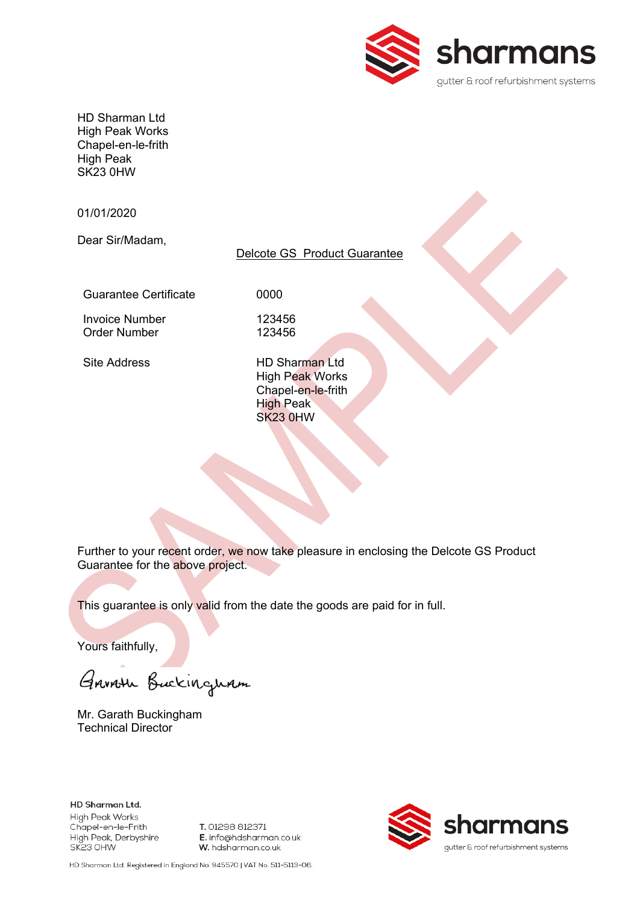

HD Sharman Ltd High Peak Works Chapel-en-le-frith High Peak SK23 0HW

01/01/2020

Dear Sir/Madam,

### Delcote GS Product Guarantee

Guarantee Certificate **0000** 

Invoice Number 123456<br>Order Number 123456

Order Number

Site Address HD Sharman Ltd High Peak Works Chapel-en-le-frith High Peak SK23 0HW

Further to your recent order, we now take pleasure in enclosing the Delcote GS Product Guarantee for the above project.

This guarantee is only valid from the date the goods are paid for in full.

Yours faithfully,

Garroth Buckingham

Mr. Garath Buckingham Technical Director

HD Sharman Ltd. High Peak Works Chapel-en-le-Frith High Peak, Derbyshire SK23 OHW

T. 01298 812371 E. info@hdsharman.co.uk W. hdsharman.co.uk



HD Sharman Ltd. Registered in England No. 945570 | VAT No. 511-5113-06.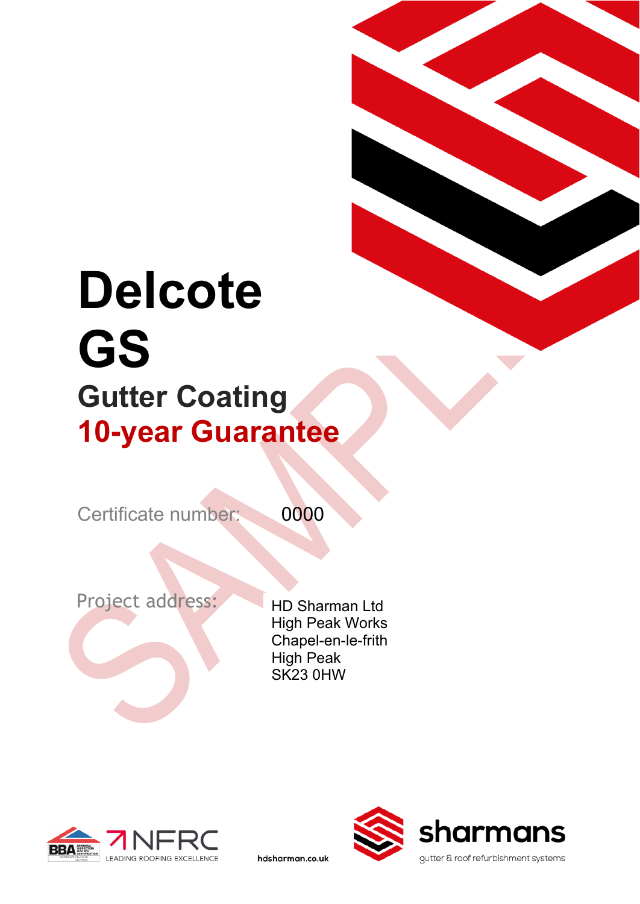# **Delcote GS Gutter Coating 10-year Guarantee**

Certificate number: 0000

hdsharman.co.uk

Project address: HD Sharman Ltd

High Peak Works Chapel-en-le-frith High Peak SK23 0HW



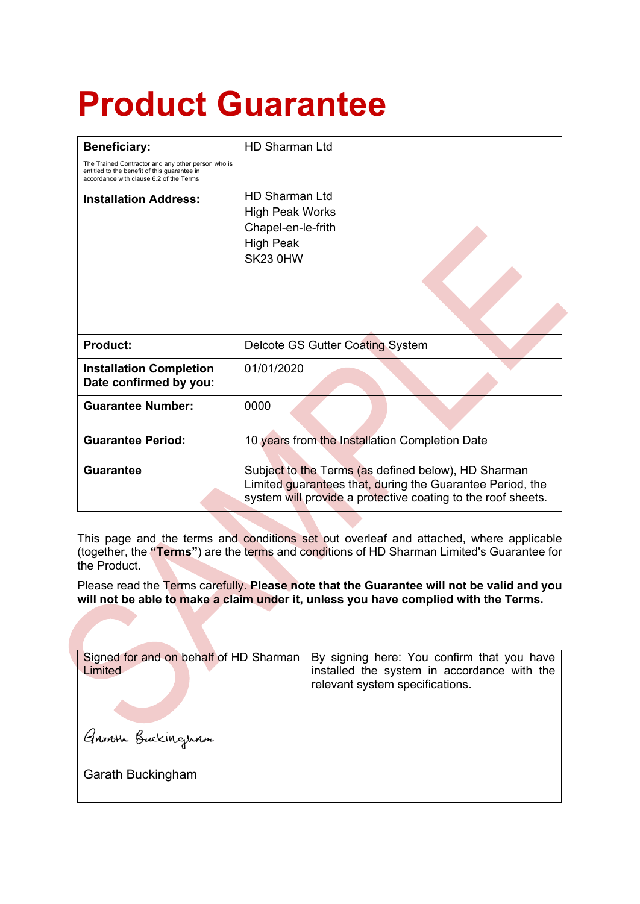## **Product Guarantee**

| <b>Beneficiary:</b>                                                                                                                           | <b>HD Sharman Ltd</b>                                                                                                                                                            |  |
|-----------------------------------------------------------------------------------------------------------------------------------------------|----------------------------------------------------------------------------------------------------------------------------------------------------------------------------------|--|
| The Trained Contractor and any other person who is<br>entitled to the benefit of this quarantee in<br>accordance with clause 6.2 of the Terms |                                                                                                                                                                                  |  |
| <b>Installation Address:</b>                                                                                                                  | HD Sharman I td<br><b>High Peak Works</b><br>Chapel-en-le-frith<br><b>High Peak</b><br>SK23 0HW                                                                                  |  |
| <b>Product:</b>                                                                                                                               | Delcote GS Gutter Coating System                                                                                                                                                 |  |
| <b>Installation Completion</b><br>Date confirmed by you:                                                                                      | 01/01/2020                                                                                                                                                                       |  |
| <b>Guarantee Number:</b>                                                                                                                      | 0000                                                                                                                                                                             |  |
| <b>Guarantee Period:</b>                                                                                                                      | 10 years from the Installation Completion Date                                                                                                                                   |  |
| <b>Guarantee</b>                                                                                                                              | Subject to the Terms (as defined below), HD Sharman<br>Limited guarantees that, during the Guarantee Period, the<br>system will provide a protective coating to the roof sheets. |  |

This page and the terms and conditions set out overleaf and attached, where applicable (together, the **"Terms"**) are the terms and conditions of HD Sharman Limited's Guarantee for the Product.

Please read the Terms carefully. **Please note that the Guarantee will not be valid and you will not be able to make a claim under it, unless you have complied with the Terms.**

| Signed for and on behalf of HD Sharman<br>Limited | By signing here: You confirm that you have<br>installed the system in accordance with the<br>relevant system specifications. |
|---------------------------------------------------|------------------------------------------------------------------------------------------------------------------------------|
| Garroth Buckinguam                                |                                                                                                                              |
| <b>Garath Buckingham</b>                          |                                                                                                                              |